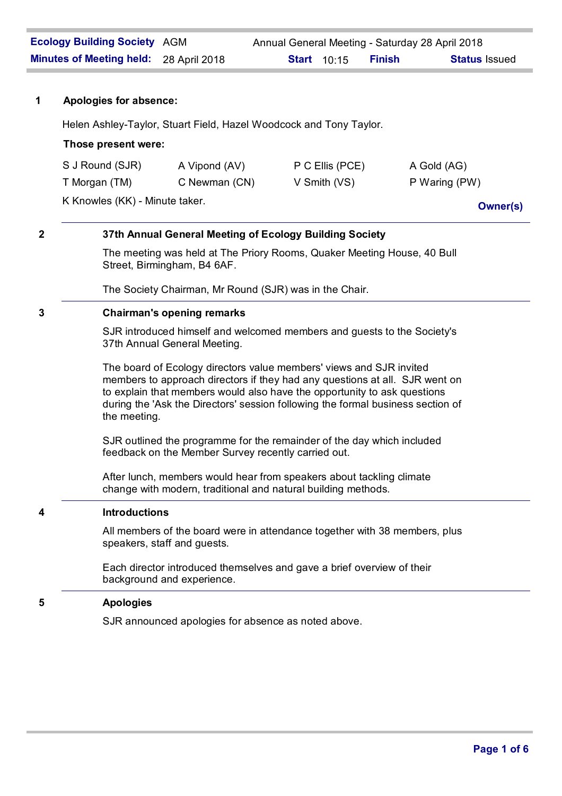## **1 Apologies for absence:**

Helen Ashley-Taylor, Stuart Field, Hazel Woodcock and Tony Taylor.

## **Those present were:**

| K Knowles (KK) - Minute taker. |               |                  | <b>Owner(s)</b> |
|--------------------------------|---------------|------------------|-----------------|
| T Morgan (TM)                  | C Newman (CN) | $V$ Smith $(VS)$ | P Waring (PW)   |
| S J Round (SJR)                | A Vipond (AV) | P C Ellis (PCE)  | A Gold (AG)     |

# **2 37th Annual General Meeting of Ecology Building Society**

The meeting was held at The Priory Rooms, Quaker Meeting House, 40 Bull Street, Birmingham, B4 6AF.

The Society Chairman, Mr Round (SJR) was in the Chair.

## **3 Chairman's opening remarks**

SJR introduced himself and welcomed members and guests to the Society's 37th Annual General Meeting.

The board of Ecology directors value members' views and SJR invited members to approach directors if they had any questions at all. SJR went on to explain that members would also have the opportunity to ask questions during the 'Ask the Directors' session following the formal business section of the meeting.

SJR outlined the programme for the remainder of the day which included feedback on the Member Survey recently carried out.

After lunch, members would hear from speakers about tackling climate change with modern, traditional and natural building methods.

## **4 Introductions**

All members of the board were in attendance together with 38 members, plus speakers, staff and guests.

Each director introduced themselves and gave a brief overview of their background and experience.

## **5 Apologies**

SJR announced apologies for absence as noted above.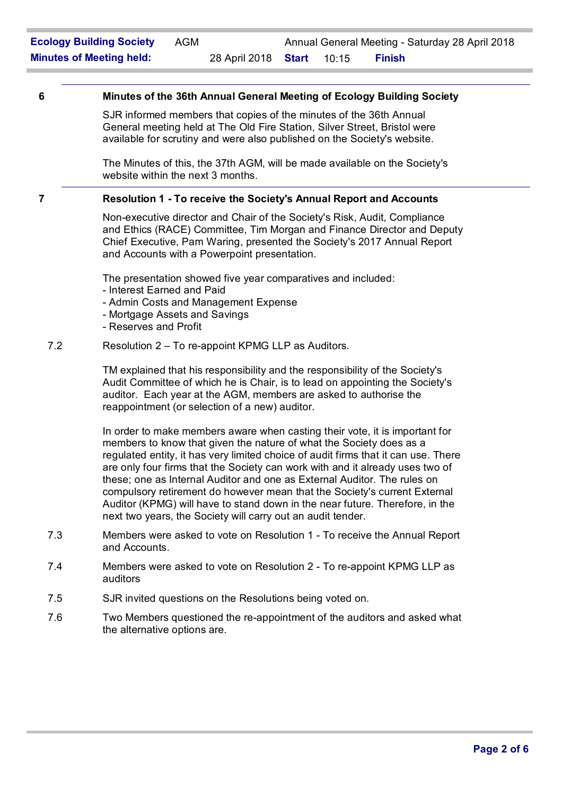## **6 Minutes of the 36th Annual General Meeting of Ecology Building Society**

SJR informed members that copies of the minutes of the 36th Annual General meeting held at The Old Fire Station, Silver Street, Bristol were available for scrutiny and were also published on the Society's website.

The Minutes of this, the 37th AGM, will be made available on the Society's website within the next 3 months.

#### **7 Resolution 1 - To receive the Society's Annual Report and Accounts**

Non-executive director and Chair of the Society's Risk, Audit, Compliance and Ethics (RACE) Committee, Tim Morgan and Finance Director and Deputy Chief Executive, Pam Waring, presented the Society's 2017 Annual Report and Accounts with a Powerpoint presentation.

The presentation showed five year comparatives and included:

- Interest Earned and Paid
- Admin Costs and Management Expense
- Mortgage Assets and Savings
- Reserves and Profit

## 7.2 Resolution 2 – To re-appoint KPMG LLP as Auditors.

TM explained that his responsibility and the responsibility of the Society's Audit Committee of which he is Chair, is to lead on appointing the Society's auditor. Each year at the AGM, members are asked to authorise the reappointment (or selection of a new) auditor.

In order to make members aware when casting their vote, it is important for members to know that given the nature of what the Society does as a regulated entity, it has very limited choice of audit firms that it can use. There are only four firms that the Society can work with and it already uses two of these; one as Internal Auditor and one as External Auditor. The rules on compulsory retirement do however mean that the Society's current External Auditor (KPMG) will have to stand down in the near future. Therefore, in the next two years, the Society will carry out an audit tender.

- 7.3 Members were asked to vote on Resolution 1 To receive the Annual Report and Accounts.
- 7.4 Members were asked to vote on Resolution 2 To re-appoint KPMG LLP as auditors
- 7.5 SJR invited questions on the Resolutions being voted on.
- 7.6 Two Members questioned the re-appointment of the auditors and asked what the alternative options are.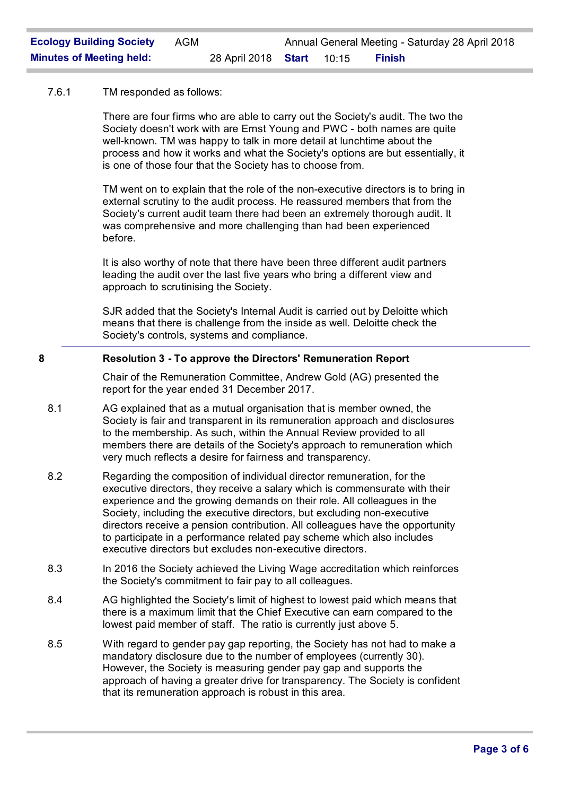## 7.6.1 TM responded as follows:

There are four firms who are able to carry out the Society's audit. The two the Society doesn't work with are Ernst Young and PWC - both names are quite well-known. TM was happy to talk in more detail at lunchtime about the process and how it works and what the Society's options are but essentially, it is one of those four that the Society has to choose from.

TM went on to explain that the role of the non-executive directors is to bring in external scrutiny to the audit process. He reassured members that from the Society's current audit team there had been an extremely thorough audit. It was comprehensive and more challenging than had been experienced before.

It is also worthy of note that there have been three different audit partners leading the audit over the last five years who bring a different view and approach to scrutinising the Society.

SJR added that the Society's Internal Audit is carried out by Deloitte which means that there is challenge from the inside as well. Deloitte check the Society's controls, systems and compliance.

# **8 Resolution 3 - To approve the Directors' Remuneration Report**

Chair of the Remuneration Committee, Andrew Gold (AG) presented the report for the year ended 31 December 2017.

- 8.1 AG explained that as a mutual organisation that is member owned, the Society is fair and transparent in its remuneration approach and disclosures to the membership. As such, within the Annual Review provided to all members there are details of the Society's approach to remuneration which very much reflects a desire for fairness and transparency.
- 8.2 Regarding the composition of individual director remuneration, for the executive directors, they receive a salary which is commensurate with their experience and the growing demands on their role. All colleagues in the Society, including the executive directors, but excluding non-executive directors receive a pension contribution. All colleagues have the opportunity to participate in a performance related pay scheme which also includes executive directors but excludes non-executive directors.
- 8.3 In 2016 the Society achieved the Living Wage accreditation which reinforces the Society's commitment to fair pay to all colleagues.
- 8.4 AG highlighted the Society's limit of highest to lowest paid which means that there is a maximum limit that the Chief Executive can earn compared to the lowest paid member of staff. The ratio is currently just above 5.
- 8.5 With regard to gender pay gap reporting, the Society has not had to make a mandatory disclosure due to the number of employees (currently 30). However, the Society is measuring gender pay gap and supports the approach of having a greater drive for transparency. The Society is confident that its remuneration approach is robust in this area.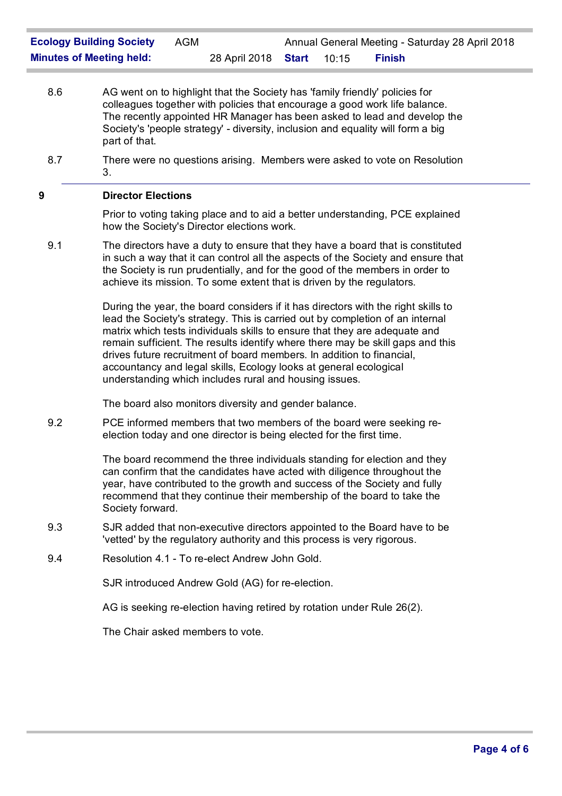- 8.6 AG went on to highlight that the Society has 'family friendly' policies for colleagues together with policies that encourage a good work life balance. The recently appointed HR Manager has been asked to lead and develop the Society's 'people strategy' - diversity, inclusion and equality will form a big part of that.
- 8.7 There were no questions arising. Members were asked to vote on Resolution 3.

## **9 Director Elections**

Prior to voting taking place and to aid a better understanding, PCE explained how the Society's Director elections work.

9.1 The directors have a duty to ensure that they have a board that is constituted in such a way that it can control all the aspects of the Society and ensure that the Society is run prudentially, and for the good of the members in order to achieve its mission. To some extent that is driven by the regulators.

> During the year, the board considers if it has directors with the right skills to lead the Society's strategy. This is carried out by completion of an internal matrix which tests individuals skills to ensure that they are adequate and remain sufficient. The results identify where there may be skill gaps and this drives future recruitment of board members. In addition to financial, accountancy and legal skills, Ecology looks at general ecological understanding which includes rural and housing issues.

The board also monitors diversity and gender balance.

9.2 PCE informed members that two members of the board were seeking reelection today and one director is being elected for the first time.

> The board recommend the three individuals standing for election and they can confirm that the candidates have acted with diligence throughout the year, have contributed to the growth and success of the Society and fully recommend that they continue their membership of the board to take the Society forward.

- 9.3 SJR added that non-executive directors appointed to the Board have to be 'vetted' by the regulatory authority and this process is very rigorous.
- 9.4 Resolution 4.1 To re-elect Andrew John Gold.

SJR introduced Andrew Gold (AG) for re-election.

AG is seeking re-election having retired by rotation under Rule 26(2).

The Chair asked members to vote.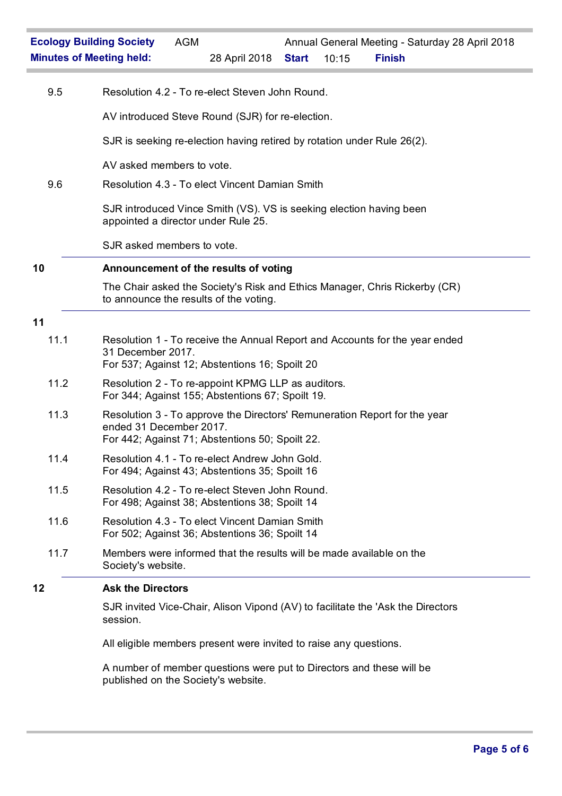| 9.5  | Resolution 4.2 - To re-elect Steven John Round.                                                                                                         |
|------|---------------------------------------------------------------------------------------------------------------------------------------------------------|
|      | AV introduced Steve Round (SJR) for re-election.                                                                                                        |
|      | SJR is seeking re-election having retired by rotation under Rule 26(2).                                                                                 |
|      | AV asked members to vote.                                                                                                                               |
| 9.6  | Resolution 4.3 - To elect Vincent Damian Smith                                                                                                          |
|      | SJR introduced Vince Smith (VS). VS is seeking election having been<br>appointed a director under Rule 25.                                              |
|      | SJR asked members to vote.                                                                                                                              |
| 10   | Announcement of the results of voting                                                                                                                   |
|      | The Chair asked the Society's Risk and Ethics Manager, Chris Rickerby (CR)<br>to announce the results of the voting.                                    |
| 11   |                                                                                                                                                         |
| 11.1 | Resolution 1 - To receive the Annual Report and Accounts for the year ended<br>31 December 2017.<br>For 537; Against 12; Abstentions 16; Spoilt 20      |
| 11.2 | Resolution 2 - To re-appoint KPMG LLP as auditors.<br>For 344; Against 155; Abstentions 67; Spoilt 19.                                                  |
| 11.3 | Resolution 3 - To approve the Directors' Remuneration Report for the year<br>ended 31 December 2017.<br>For 442; Against 71; Abstentions 50; Spoilt 22. |
| 11.4 | Resolution 4.1 - To re-elect Andrew John Gold.<br>For 494; Against 43; Abstentions 35; Spoilt 16                                                        |
| 11.5 | Resolution 4.2 - To re-elect Steven John Round.<br>For 498; Against 38; Abstentions 38; Spoilt 14                                                       |
| 11.6 | Resolution 4.3 - To elect Vincent Damian Smith<br>For 502; Against 36; Abstentions 36; Spoilt 14                                                        |
| 11.7 | Members were informed that the results will be made available on the<br>Society's website.                                                              |
| 12   | <b>Ask the Directors</b>                                                                                                                                |
|      | SJR invited Vice-Chair, Alison Vipond (AV) to facilitate the 'Ask the Directors<br>session.                                                             |

All eligible members present were invited to raise any questions.

A number of member questions were put to Directors and these will be published on the Society's website.